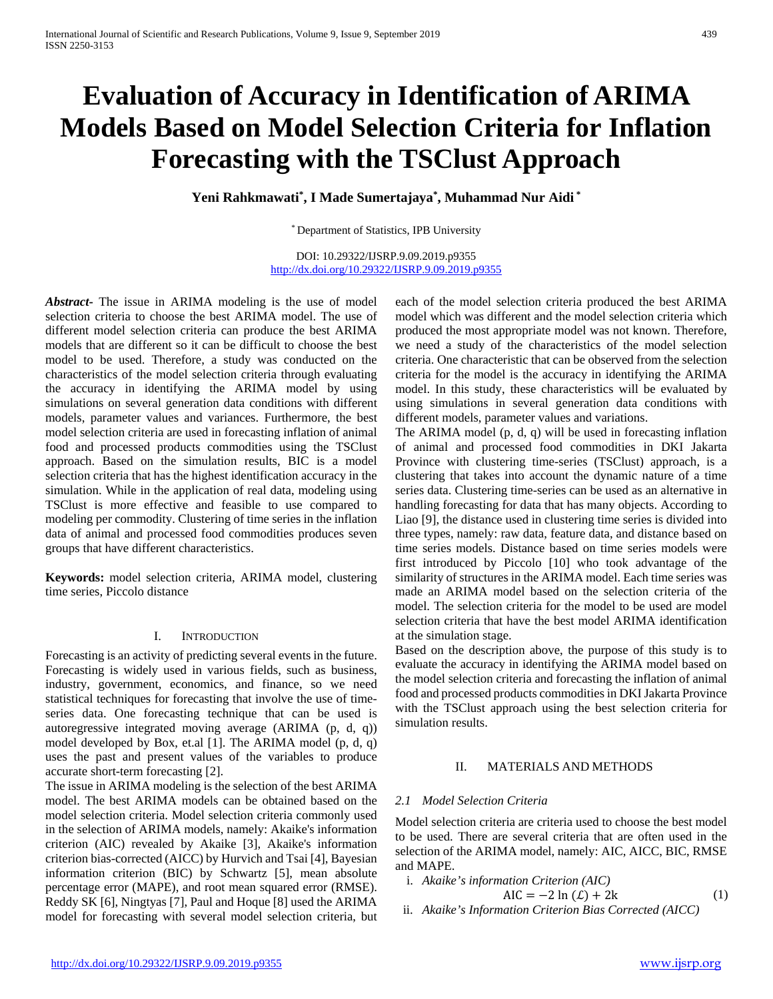# **Evaluation of Accuracy in Identification of ARIMA Models Based on Model Selection Criteria for Inflation Forecasting with the TSClust Approach**

**Yeni Rahkmawati\* , I Made Sumertajaya\* , Muhammad Nur Aidi \***

\* Department of Statistics, IPB University

DOI: 10.29322/IJSRP.9.09.2019.p9355 <http://dx.doi.org/10.29322/IJSRP.9.09.2019.p9355>

*Abstract***-** The issue in ARIMA modeling is the use of model selection criteria to choose the best ARIMA model. The use of different model selection criteria can produce the best ARIMA models that are different so it can be difficult to choose the best model to be used. Therefore, a study was conducted on the characteristics of the model selection criteria through evaluating the accuracy in identifying the ARIMA model by using simulations on several generation data conditions with different models, parameter values and variances. Furthermore, the best model selection criteria are used in forecasting inflation of animal food and processed products commodities using the TSClust approach. Based on the simulation results, BIC is a model selection criteria that has the highest identification accuracy in the simulation. While in the application of real data, modeling using TSClust is more effective and feasible to use compared to modeling per commodity. Clustering of time series in the inflation data of animal and processed food commodities produces seven groups that have different characteristics.

**Keywords:** model selection criteria, ARIMA model, clustering time series, Piccolo distance

# I. INTRODUCTION

Forecasting is an activity of predicting several events in the future. Forecasting is widely used in various fields, such as business, industry, government, economics, and finance, so we need statistical techniques for forecasting that involve the use of timeseries data. One forecasting technique that can be used is autoregressive integrated moving average (ARIMA (p, d, q)) model developed by Box, et.al [1]. The ARIMA model (p, d, q) uses the past and present values of the variables to produce accurate short-term forecasting [2].

The issue in ARIMA modeling is the selection of the best ARIMA model. The best ARIMA models can be obtained based on the model selection criteria. Model selection criteria commonly used in the selection of ARIMA models, namely: Akaike's information criterion (AIC) revealed by Akaike [3], Akaike's information criterion bias-corrected (AICC) by Hurvich and Tsai [4], Bayesian information criterion (BIC) by Schwartz [5], mean absolute percentage error (MAPE), and root mean squared error (RMSE). Reddy SK [6], Ningtyas [7], Paul and Hoque [8] used the ARIMA model for forecasting with several model selection criteria, but each of the model selection criteria produced the best ARIMA model which was different and the model selection criteria which produced the most appropriate model was not known. Therefore, we need a study of the characteristics of the model selection criteria. One characteristic that can be observed from the selection criteria for the model is the accuracy in identifying the ARIMA model. In this study, these characteristics will be evaluated by using simulations in several generation data conditions with different models, parameter values and variations.

The ARIMA model (p, d, q) will be used in forecasting inflation of animal and processed food commodities in DKI Jakarta Province with clustering time-series (TSClust) approach, is a clustering that takes into account the dynamic nature of a time series data. Clustering time-series can be used as an alternative in handling forecasting for data that has many objects. According to Liao [9], the distance used in clustering time series is divided into three types, namely: raw data, feature data, and distance based on time series models. Distance based on time series models were first introduced by Piccolo [10] who took advantage of the similarity of structures in the ARIMA model. Each time series was made an ARIMA model based on the selection criteria of the model. The selection criteria for the model to be used are model selection criteria that have the best model ARIMA identification at the simulation stage.

Based on the description above, the purpose of this study is to evaluate the accuracy in identifying the ARIMA model based on the model selection criteria and forecasting the inflation of animal food and processed products commodities in DKI Jakarta Province with the TSClust approach using the best selection criteria for simulation results.

# II. MATERIALS AND METHODS

# *2.1 Model Selection Criteria*

Model selection criteria are criteria used to choose the best model to be used. There are several criteria that are often used in the selection of the ARIMA model, namely: AIC, AICC, BIC, RMSE and MAPE.

- i. *Akaike's information Criterion (AIC)*
- AIC =  $-2 \ln (\mathcal{L}) + 2k$  (1) ii. *Akaike's Information Criterion Bias Corrected (AICC)*
- <http://dx.doi.org/10.29322/IJSRP.9.09.2019.p9355> [www.ijsrp.org](http://ijsrp.org/)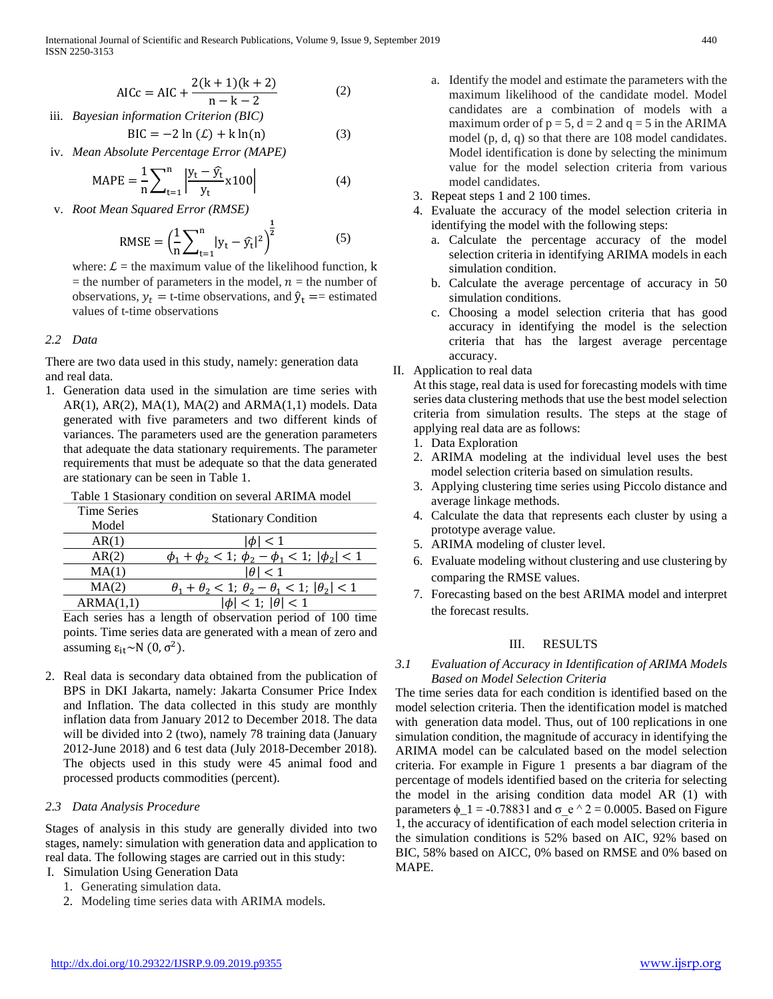$$
AICc = AIC + \frac{2(k+1)(k+2)}{n-k-2}
$$
 (2)

iii. *Bayesian information Criterion (BIC)*

$$
BIC = -2 \ln (\mathcal{L}) + k \ln(n) \tag{3}
$$

iv. *Mean Absolute Percentage Error (MAPE)*

$$
MAPE = \frac{1}{n} \sum_{t=1}^{n} \left| \frac{y_t - \hat{y_t}}{y_t} x 100 \right|
$$
 (4)

v. *Root Mean Squared Error (RMSE)*

RMSE = 
$$
\left(\frac{1}{n}\sum_{t=1}^{n} |y_t - \hat{y}_t|^2\right)^{\frac{1}{2}}
$$
 (5)

where:  $\mathcal{L}$  = the maximum value of the likelihood function, k = the number of parameters in the model,  $n =$  the number of observations,  $y_t = t$ -time observations, and  $\hat{y}_t ==$  estimated values of t-time observations

# *2.2 Data*

There are two data used in this study, namely: generation data and real data.

1. Generation data used in the simulation are time series with  $AR(1)$ ,  $AR(2)$ ,  $MA(1)$ ,  $MA(2)$  and  $ARMA(1,1)$  models. Data generated with five parameters and two different kinds of variances. The parameters used are the generation parameters that adequate the data stationary requirements. The parameter requirements that must be adequate so that the data generated are stationary can be seen in Table 1.

| <b>Stationary Condition</b>                                              |
|--------------------------------------------------------------------------|
| $\leq 1$                                                                 |
| $\phi_1 + \phi_2 < 1$ ; $\phi_2 - \phi_1 < 1$ ; $ \phi_2  < 1$           |
| $\leq 1$<br>IAL                                                          |
| $\theta_1 + \theta_2 < 1$ ; $\theta_2 - \theta_1 < 1$ ; $ \theta_2  < 1$ |
| $\phi$   < 1; $ \theta $ < 1                                             |
|                                                                          |

Each series has a length of observation period of 100 time points. Time series data are generated with a mean of zero and assuming  $ε_{it}~N$  (0,  $σ^2$ ).

2. Real data is secondary data obtained from the publication of BPS in DKI Jakarta, namely: Jakarta Consumer Price Index and Inflation. The data collected in this study are monthly inflation data from January 2012 to December 2018. The data will be divided into 2 (two), namely 78 training data (January 2012-June 2018) and 6 test data (July 2018-December 2018). The objects used in this study were 45 animal food and processed products commodities (percent).

# *2.3 Data Analysis Procedure*

Stages of analysis in this study are generally divided into two stages, namely: simulation with generation data and application to real data. The following stages are carried out in this study:

- I. Simulation Using Generation Data
	- 1. Generating simulation data.
	- 2. Modeling time series data with ARIMA models.
- a. Identify the model and estimate the parameters with the maximum likelihood of the candidate model. Model candidates are a combination of models with a maximum order of  $p = 5$ ,  $d = 2$  and  $q = 5$  in the ARIMA model (p, d, q) so that there are 108 model candidates. Model identification is done by selecting the minimum value for the model selection criteria from various model candidates.
- 3. Repeat steps 1 and 2 100 times.
- 4. Evaluate the accuracy of the model selection criteria in identifying the model with the following steps:
	- a. Calculate the percentage accuracy of the model selection criteria in identifying ARIMA models in each simulation condition.
	- b. Calculate the average percentage of accuracy in 50 simulation conditions.
	- c. Choosing a model selection criteria that has good accuracy in identifying the model is the selection criteria that has the largest average percentage accuracy.
- II. Application to real data

At this stage, real data is used for forecasting models with time series data clustering methods that use the best model selection criteria from simulation results. The steps at the stage of applying real data are as follows:

- 1. Data Exploration
- 2. ARIMA modeling at the individual level uses the best model selection criteria based on simulation results.
- 3. Applying clustering time series using Piccolo distance and average linkage methods.
- 4. Calculate the data that represents each cluster by using a prototype average value.
- 5. ARIMA modeling of cluster level.
- 6. Evaluate modeling without clustering and use clustering by comparing the RMSE values.
- 7. Forecasting based on the best ARIMA model and interpret the forecast results.

# III. RESULTS

# *3.1 Evaluation of Accuracy in Identification of ARIMA Models Based on Model Selection Criteria*

The time series data for each condition is identified based on the model selection criteria. Then the identification model is matched with generation data model. Thus, out of 100 replications in one simulation condition, the magnitude of accuracy in identifying the ARIMA model can be calculated based on the model selection criteria. For example in Figure 1 presents a bar diagram of the percentage of models identified based on the criteria for selecting the model in the arising condition data model AR (1) with parameters  $\phi_{1} = -0.78831$  and  $\sigma e^2 \ge 0.0005$ . Based on Figure 1, the accuracy of identification of each model selection criteria in the simulation conditions is 52% based on AIC, 92% based on BIC, 58% based on AICC, 0% based on RMSE and 0% based on MAPE.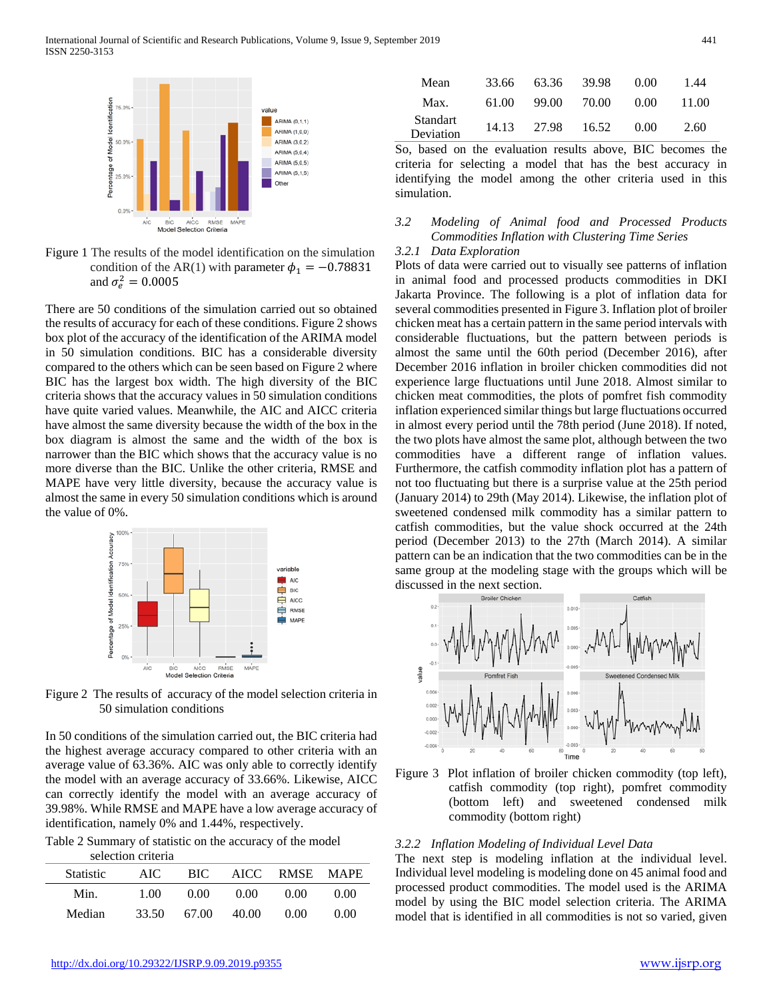

Figure 1 The results of the model identification on the simulation condition of the AR(1) with parameter  $\phi_1 = -0.78831$ and  $\sigma_e^2 = 0.0005$ 

There are 50 conditions of the simulation carried out so obtained the results of accuracy for each of these conditions. Figure 2 shows box plot of the accuracy of the identification of the ARIMA model in 50 simulation conditions. BIC has a considerable diversity compared to the others which can be seen based on Figure 2 where BIC has the largest box width. The high diversity of the BIC criteria shows that the accuracy values in 50 simulation conditions have quite varied values. Meanwhile, the AIC and AICC criteria have almost the same diversity because the width of the box in the box diagram is almost the same and the width of the box is narrower than the BIC which shows that the accuracy value is no more diverse than the BIC. Unlike the other criteria, RMSE and MAPE have very little diversity, because the accuracy value is almost the same in every 50 simulation conditions which is around the value of 0%.



Figure 2 The results of accuracy of the model selection criteria in 50 simulation conditions

In 50 conditions of the simulation carried out, the BIC criteria had the highest average accuracy compared to other criteria with an average value of 63.36%. AIC was only able to correctly identify the model with an average accuracy of 33.66%. Likewise, AICC can correctly identify the model with an average accuracy of 39.98%. While RMSE and MAPE have a low average accuracy of identification, namely 0% and 1.44%, respectively.

Table 2 Summary of statistic on the accuracy of the model selection criteria

|                  | selection criteria |       |        |           |             |  |
|------------------|--------------------|-------|--------|-----------|-------------|--|
| <b>Statistic</b> | AIC.               | BIC.  |        | AICC RMSE | <b>MAPE</b> |  |
| Min.             | 1.00               | 0.00  | (1)(1) | 0.00      | (1)(1)      |  |
| Median           | 33.50              | 67.00 | 40.00  | 0. QQ     | 0. QQ       |  |

| Mean                  | 33.66 | 63.36 | 39.98 | 0.00 | 1.44  |
|-----------------------|-------|-------|-------|------|-------|
| Max.                  | 61.00 | 99.00 | 70.00 | 0.00 | 11.00 |
| Standart<br>Deviation | 14.13 | 27.98 | 16.52 | 0.00 | 2.60  |

So, based on the evaluation results above, BIC becomes the criteria for selecting a model that has the best accuracy in identifying the model among the other criteria used in this simulation.

# *3.2 Modeling of Animal food and Processed Products Commodities Inflation with Clustering Time Series*

# *3.2.1 Data Exploration*

Plots of data were carried out to visually see patterns of inflation in animal food and processed products commodities in DKI Jakarta Province. The following is a plot of inflation data for several commodities presented in Figure 3. Inflation plot of broiler chicken meat has a certain pattern in the same period intervals with considerable fluctuations, but the pattern between periods is almost the same until the 60th period (December 2016), after December 2016 inflation in broiler chicken commodities did not experience large fluctuations until June 2018. Almost similar to chicken meat commodities, the plots of pomfret fish commodity inflation experienced similar things but large fluctuations occurred in almost every period until the 78th period (June 2018). If noted, the two plots have almost the same plot, although between the two commodities have a different range of inflation values. Furthermore, the catfish commodity inflation plot has a pattern of not too fluctuating but there is a surprise value at the 25th period (January 2014) to 29th (May 2014). Likewise, the inflation plot of sweetened condensed milk commodity has a similar pattern to catfish commodities, but the value shock occurred at the 24th period (December 2013) to the 27th (March 2014). A similar pattern can be an indication that the two commodities can be in the same group at the modeling stage with the groups which will be discussed in the next section.



Figure 3 Plot inflation of broiler chicken commodity (top left), catfish commodity (top right), pomfret commodity (bottom left) and sweetened condensed milk commodity (bottom right)

#### *3.2.2 Inflation Modeling of Individual Level Data*

The next step is modeling inflation at the individual level. Individual level modeling is modeling done on 45 animal food and processed product commodities. The model used is the ARIMA model by using the BIC model selection criteria. The ARIMA model that is identified in all commodities is not so varied, given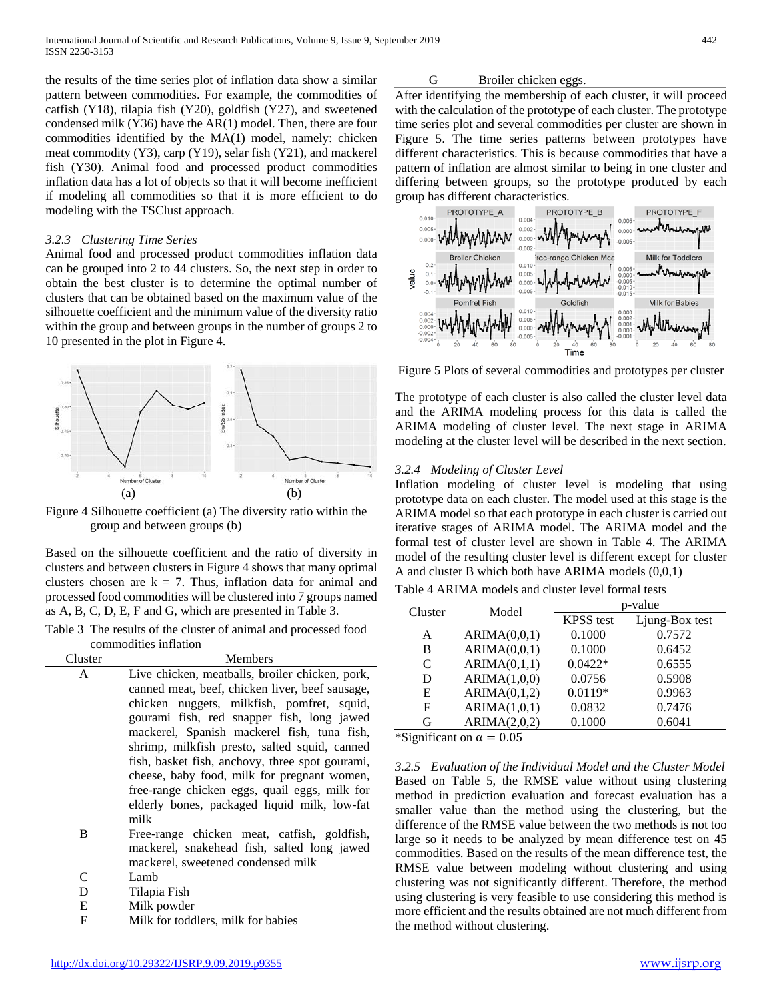the results of the time series plot of inflation data show a similar pattern between commodities. For example, the commodities of catfish (Y18), tilapia fish (Y20), goldfish (Y27), and sweetened condensed milk (Y36) have the AR(1) model. Then, there are four commodities identified by the MA(1) model, namely: chicken meat commodity (Y3), carp (Y19), selar fish (Y21), and mackerel fish (Y30). Animal food and processed product commodities inflation data has a lot of objects so that it will become inefficient if modeling all commodities so that it is more efficient to do modeling with the TSClust approach.

#### *3.2.3 Clustering Time Series*

Animal food and processed product commodities inflation data can be grouped into 2 to 44 clusters. So, the next step in order to obtain the best cluster is to determine the optimal number of clusters that can be obtained based on the maximum value of the silhouette coefficient and the minimum value of the diversity ratio within the group and between groups in the number of groups 2 to 10 presented in the plot in Figure 4.



Figure 4 Silhouette coefficient (a) The diversity ratio within the group and between groups (b)

Based on the silhouette coefficient and the ratio of diversity in clusters and between clusters in Figure 4 shows that many optimal clusters chosen are  $k = 7$ . Thus, inflation data for animal and processed food commodities will be clustered into 7 groups named as A, B, C, D, E, F and G, which are presented in Table 3.

Table 3 The results of the cluster of animal and processed food commodities inflation

| Cluster      | Members                                         |
|--------------|-------------------------------------------------|
| $\mathsf{A}$ | Live chicken, meatballs, broiler chicken, pork, |
|              | canned meat, beef, chicken liver, beef sausage, |
|              | chicken nuggets, milkfish, pomfret, squid,      |
|              | gourami fish, red snapper fish, long jawed      |
|              | mackerel, Spanish mackerel fish, tuna fish,     |
|              | shrimp, milkfish presto, salted squid, canned   |
|              | fish, basket fish, anchovy, three spot gourami, |
|              | cheese, baby food, milk for pregnant women,     |
|              | free-range chicken eggs, quail eggs, milk for   |
|              | elderly bones, packaged liquid milk, low-fat    |
|              | milk                                            |
| B            | Free-range chicken meat, catfish, goldfish,     |
|              | mackerel, snakehead fish, salted long jawed     |
|              | mackerel, sweetened condensed milk              |
|              | Lamb                                            |

- D Tilapia Fish E Milk powder
- 
- F Milk for toddlers, milk for babies

# G Broiler chicken eggs.

After identifying the membership of each cluster, it will proceed with the calculation of the prototype of each cluster. The prototype time series plot and several commodities per cluster are shown in Figure 5. The time series patterns between prototypes have different characteristics. This is because commodities that have a pattern of inflation are almost similar to being in one cluster and differing between groups, so the prototype produced by each group has different characteristics.



Figure 5 Plots of several commodities and prototypes per cluster

The prototype of each cluster is also called the cluster level data and the ARIMA modeling process for this data is called the ARIMA modeling of cluster level. The next stage in ARIMA modeling at the cluster level will be described in the next section.

## *3.2.4 Modeling of Cluster Level*

Inflation modeling of cluster level is modeling that using prototype data on each cluster. The model used at this stage is the ARIMA model so that each prototype in each cluster is carried out iterative stages of ARIMA model. The ARIMA model and the formal test of cluster level are shown in Table 4. The ARIMA model of the resulting cluster level is different except for cluster A and cluster B which both have ARIMA models (0,0,1)

Table 4 ARIMA models and cluster level formal tests

| Cluster | Model        |                  | p-value        |
|---------|--------------|------------------|----------------|
|         |              | <b>KPSS</b> test | Ljung-Box test |
| A       | ARIMA(0,0,1) | 0.1000           | 0.7572         |
| B       | ARIMA(0,0,1) | 0.1000           | 0.6452         |
| C       | ARIMA(0,1,1) | $0.0422*$        | 0.6555         |
| D       | ARIMA(1,0,0) | 0.0756           | 0.5908         |
| E       | ARIMA(0,1,2) | $0.0119*$        | 0.9963         |
| F       | ARIMA(1,0,1) | 0.0832           | 0.7476         |
| G       | ARIMA(2,0,2) | 0.1000           | 0.6041         |

\*Significant on  $\alpha = 0.05$ 

*3.2.5 Evaluation of the Individual Model and the Cluster Model* Based on Table 5, the RMSE value without using clustering method in prediction evaluation and forecast evaluation has a smaller value than the method using the clustering, but the difference of the RMSE value between the two methods is not too large so it needs to be analyzed by mean difference test on 45 commodities. Based on the results of the mean difference test, the RMSE value between modeling without clustering and using clustering was not significantly different. Therefore, the method using clustering is very feasible to use considering this method is more efficient and the results obtained are not much different from the method without clustering.